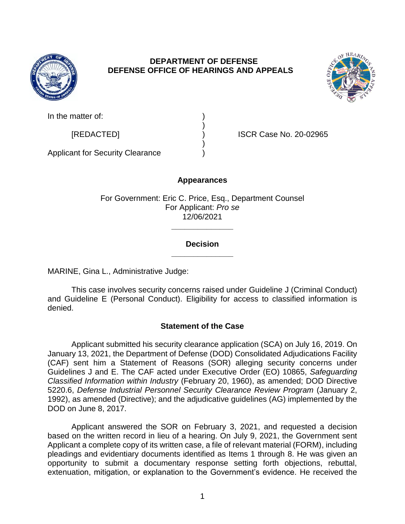

# **DEPARTMENT OF DEFENSE DEFENSE OFFICE OF HEARINGS AND APPEALS**



In the matter of:

[REDACTED] ) ISCR Case No. 20-02965

Applicant for Security Clearance )

# **Appearances**

)

)

For Government: Eric C. Price, Esq., Department Counsel For Applicant: *Pro se*  12/06/2021

# **\_\_\_\_\_\_\_\_\_\_\_\_\_\_ Decision**

**\_\_\_\_\_\_\_\_\_\_\_\_\_\_** 

MARINE, Gina L., Administrative Judge:

 and Guideline E (Personal Conduct). Eligibility for access to classified information is This case involves security concerns raised under Guideline J (Criminal Conduct) denied.

# **Statement of the Case**

 Applicant submitted his security clearance application (SCA) on July 16, 2019. On January 13, 2021, the Department of Defense (DOD) Consolidated Adjudications Facility (CAF) sent him a Statement of Reasons (SOR) alleging security concerns under Guidelines J and E. The CAF acted under Executive Order (EO) 10865, *Safeguarding Classified Information within Industry* (February 20, 1960), as amended; DOD Directive 5220.6, *Defense Industrial Personnel Security Clearance Review Program* (January 2, 1992), as amended (Directive); and the adjudicative guidelines (AG) implemented by the DOD on June 8, 2017.

 Applicant answered the SOR on February 3, 2021, and requested a decision based on the written record in lieu of a hearing. On July 9, 2021, the Government sent Applicant a complete copy of its written case, a file of relevant material (FORM), including pleadings and evidentiary documents identified as Items 1 through 8. He was given an opportunity to submit a documentary response setting forth objections, rebuttal, extenuation, mitigation, or explanation to the Government's evidence. He received the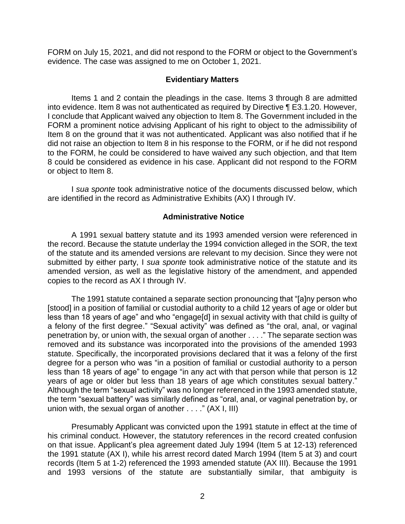FORM on July 15, 2021, and did not respond to the FORM or object to the Government's evidence. The case was assigned to me on October 1, 2021.

### **Evidentiary Matters**

 Items 1 and 2 contain the pleadings in the case. Items 3 through 8 are admitted into evidence. Item 8 was not authenticated as required by Directive ¶ E3.1.20. However, I conclude that Applicant waived any objection to Item 8. The Government included in the FORM a prominent notice advising Applicant of his right to object to the admissibility of Item 8 on the ground that it was not authenticated. Applicant was also notified that if he to the FORM, he could be considered to have waived any such objection, and that Item 8 could be considered as evidence in his case. Applicant did not respond to the FORM or object to Item 8. did not raise an objection to Item 8 in his response to the FORM, or if he did not respond

 I *sua sponte* took administrative notice of the documents discussed below, which are identified in the record as Administrative Exhibits (AX) I through IV.

### **Administrative Notice**

 A 1991 sexual battery statute and its 1993 amended version were referenced in the record. Because the statute underlay the 1994 conviction alleged in the SOR, the text submitted by either party, I *sua sponte* took administrative notice of the statute and its amended version, as well as the legislative history of the amendment, and appended of the statute and its amended versions are relevant to my decision. Since they were not copies to the record as AX I through IV.

 The 1991 statute contained a separate section pronouncing that "[a]ny person who [stood] in a position of familial or custodial authority to a child 12 years of age or older but less than 18 years of age" and who "engage[d] in sexual activity with that child is guilty of a felony of the first degree." "Sexual activity" was defined as "the oral, anal, or vaginal penetration by, or union with, the sexual organ of another . . . ." The separate section was removed and its substance was incorporated into the provisions of the amended 1993 statute. Specifically, the incorporated provisions declared that it was a felony of the first degree for a person who was "in a position of familial or custodial authority to a person less than 18 years of age" to engage "in any act with that person while that person is 12 years of age or older but less than 18 years of age which constitutes sexual battery." Although the term "sexual activity" was no longer referenced in the 1993 amended statute, the term "sexual battery" was similarly defined as "oral, anal, or vaginal penetration by, or union with, the sexual organ of another . . . ." (AX I, III)

 his criminal conduct. However, the statutory references in the record created confusion on that issue. Applicant's plea agreement dated July 1994 (Item 5 at 12-13) referenced the 1991 statute (AX I), while his arrest record dated March 1994 (Item 5 at 3) and court records (Item 5 at 1-2) referenced the 1993 amended statute (AX III). Because the 1991 and 1993 versions of the statute are substantially similar, that ambiguity is Presumably Applicant was convicted upon the 1991 statute in effect at the time of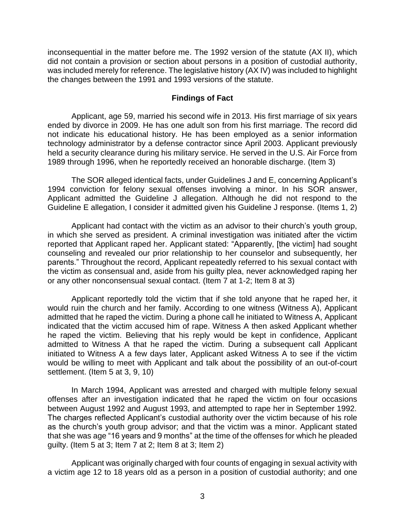inconsequential in the matter before me. The 1992 version of the statute (AX II), which did not contain a provision or section about persons in a position of custodial authority, was included merely for reference. The legislative history (AX IV) was included to highlight the changes between the 1991 and 1993 versions of the statute.

### **Findings of Fact**

 Applicant, age 59, married his second wife in 2013. His first marriage of six years ended by divorce in 2009. He has one adult son from his first marriage. The record did not indicate his educational history. He has been employed as a senior information technology administrator by a defense contractor since April 2003. Applicant previously held a security clearance during his military service. He served in the U.S. Air Force from 1989 through 1996, when he reportedly received an honorable discharge. (Item 3)

 The SOR alleged identical facts, under Guidelines J and E, concerning Applicant's 1994 conviction for felony sexual offenses involving a minor. In his SOR answer, Applicant admitted the Guideline J allegation. Although he did not respond to the Guideline E allegation, I consider it admitted given his Guideline J response. (Items 1, 2)

 Applicant had contact with the victim as an advisor to their church's youth group, in which she served as president. A criminal investigation was initiated after the victim reported that Applicant raped her. Applicant stated: "Apparently, [the victim] had sought counseling and revealed our prior relationship to her counselor and subsequently, her parents." Throughout the record, Applicant repeatedly referred to his sexual contact with the victim as consensual and, aside from his guilty plea, never acknowledged raping her or any other nonconsensual sexual contact. (Item 7 at 1-2; Item 8 at 3)

 Applicant reportedly told the victim that if she told anyone that he raped her, it would ruin the church and her family. According to one witness (Witness A), Applicant admitted that he raped the victim. During a phone call he initiated to Witness A, Applicant indicated that the victim accused him of rape. Witness A then asked Applicant whether he raped the victim. Believing that his reply would be kept in confidence, Applicant admitted to Witness A that he raped the victim. During a subsequent call Applicant initiated to Witness A a few days later, Applicant asked Witness A to see if the victim would be willing to meet with Applicant and talk about the possibility of an out-of-court settlement. (Item 5 at 3, 9, 10)

 In March 1994, Applicant was arrested and charged with multiple felony sexual offenses after an investigation indicated that he raped the victim on four occasions between August 1992 and August 1993, and attempted to rape her in September 1992. The charges reflected Applicant's custodial authority over the victim because of his role as the church's youth group advisor; and that the victim was a minor. Applicant stated that she was age "16 years and 9 months" at the time of the offenses for which he pleaded guilty. (Item 5 at 3; Item 7 at 2; Item 8 at 3; Item 2)

 Applicant was originally charged with four counts of engaging in sexual activity with a victim age 12 to 18 years old as a person in a position of custodial authority; and one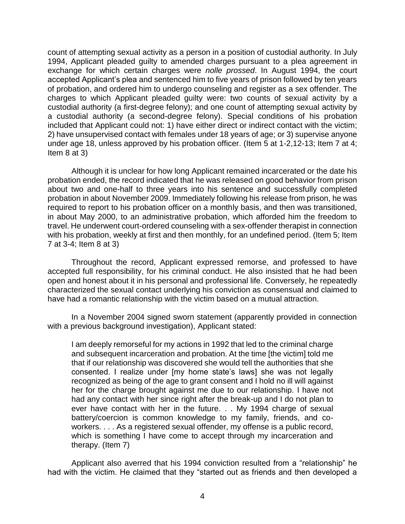count of attempting sexual activity as a person in a position of custodial authority. In July 1994, Applicant pleaded guilty to amended charges pursuant to a plea agreement in exchange for which certain charges were *nolle prossed*. In August 1994, the court accepted Applicant's plea and sentenced him to five years of prison followed by ten years of probation, and ordered him to undergo counseling and register as a sex offender. The charges to which Applicant pleaded guilty were: two counts of sexual activity by a custodial authority (a first-degree felony); and one count of attempting sexual activity by a custodial authority (a second-degree felony). Special conditions of his probation included that Applicant could not: 1) have either direct or indirect contact with the victim; 2) have unsupervised contact with females under 18 years of age; or 3) supervise anyone under age 18, unless approved by his probation officer. (Item 5 at 1-2,12-13; Item 7 at 4; Item 8 at 3)

 Although it is unclear for how long Applicant remained incarcerated or the date his probation ended, the record indicated that he was released on good behavior from prison about two and one-half to three years into his sentence and successfully completed probation in about November 2009. Immediately following his release from prison, he was required to report to his probation officer on a monthly basis, and then was transitioned, in about May 2000, to an administrative probation, which afforded him the freedom to travel. He underwent court-ordered counseling with a sex-offender therapist in connection with his probation, weekly at first and then monthly, for an undefined period. (Item 5; Item 7 at 3-4; Item 8 at 3)

 Throughout the record, Applicant expressed remorse, and professed to have accepted full responsibility, for his criminal conduct. He also insisted that he had been open and honest about it in his personal and professional life. Conversely, he repeatedly characterized the sexual contact underlying his conviction as consensual and claimed to have had a romantic relationship with the victim based on a mutual attraction.

 In a November 2004 signed sworn statement (apparently provided in connection with a previous background investigation), Applicant stated:

I am deeply remorseful for my actions in 1992 that led to the criminal charge and subsequent incarceration and probation. At the time [the victim] told me that if our relationship was discovered she would tell the authorities that she consented. I realize under [my home state's laws] she was not legally recognized as being of the age to grant consent and I hold no ill will against her for the charge brought against me due to our relationship. I have not had any contact with her since right after the break-up and I do not plan to ever have contact with her in the future. . . My 1994 charge of sexual battery/coercion is common knowledge to my family, friends, and coworkers. . . . As a registered sexual offender, my offense is a public record, which is something I have come to accept through my incarceration and therapy. (Item 7)

 Applicant also averred that his 1994 conviction resulted from a "relationship" he had with the victim. He claimed that they "started out as friends and then developed a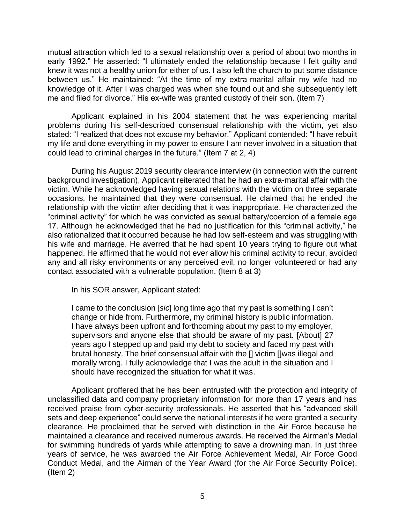mutual attraction which led to a sexual relationship over a period of about two months in early 1992." He asserted: "I ultimately ended the relationship because I felt guilty and knew it was not a healthy union for either of us. I also left the church to put some distance between us." He maintained: "At the time of my extra-marital affair my wife had no knowledge of it. After I was charged was when she found out and she subsequently left me and filed for divorce." His ex-wife was granted custody of their son. (Item 7)

 Applicant explained in his 2004 statement that he was experiencing marital problems during his self-described consensual relationship with the victim, yet also stated: "I realized that does not excuse my behavior." Applicant contended: "I have rebuilt my life and done everything in my power to ensure I am never involved in a situation that could lead to criminal charges in the future." (Item 7 at 2, 4)

During his August 2019 security clearance interview (in connection with the current background investigation), Applicant reiterated that he had an extra-marital affair with the victim. While he acknowledged having sexual relations with the victim on three separate occasions, he maintained that they were consensual. He claimed that he ended the relationship with the victim after deciding that it was inappropriate. He characterized the "criminal activity" for which he was convicted as sexual battery/coercion of a female age 17. Although he acknowledged that he had no justification for this "criminal activity," he also rationalized that it occurred because he had low self-esteem and was struggling with his wife and marriage. He averred that he had spent 10 years trying to figure out what happened. He affirmed that he would not ever allow his criminal activity to recur, avoided any and all risky environments or any perceived evil, no longer volunteered or had any contact associated with a vulnerable population. (Item 8 at 3)

In his SOR answer, Applicant stated:

 I came to the conclusion [*sic*] long time ago that my past is something I can't change or hide from. Furthermore, my criminal history is public information. I have always been upfront and forthcoming about my past to my employer, supervisors and anyone else that should be aware of my past. [About] 27 years ago I stepped up and paid my debt to society and faced my past with brutal honesty. The brief consensual affair with the [] victim []was illegal and morally wrong. I fully acknowledge that I was the adult in the situation and I should have recognized the situation for what it was.

 Applicant proffered that he has been entrusted with the protection and integrity of unclassified data and company proprietary information for more than 17 years and has received praise from cyber-security professionals. He asserted that his "advanced skill sets and deep experience" could serve the national interests if he were granted a security clearance. He proclaimed that he served with distinction in the Air Force because he maintained a clearance and received numerous awards. He received the Airman's Medal for swimming hundreds of yards while attempting to save a drowning man. In just three years of service, he was awarded the Air Force Achievement Medal, Air Force Good Conduct Medal, and the Airman of the Year Award (for the Air Force Security Police). (Item 2)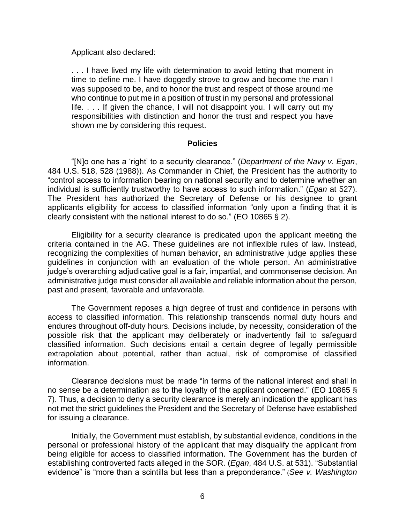Applicant also declared:

 . . . I have lived my life with determination to avoid letting that moment in time to define me. I have doggedly strove to grow and become the man I was supposed to be, and to honor the trust and respect of those around me who continue to put me in a position of trust in my personal and professional life. . . . If given the chance, I will not disappoint you. I will carry out my responsibilities with distinction and honor the trust and respect you have shown me by considering this request.

#### **Policies**

 "[N]o one has a 'right' to a security clearance." (*Department of the Navy v. Egan*, 484 U.S. 518, 528 (1988)). As Commander in Chief, the President has the authority to "control access to information bearing on national security and to determine whether an individual is sufficiently trustworthy to have access to such information." (*Egan* at 527). The President has authorized the Secretary of Defense or his designee to grant applicants eligibility for access to classified information "only upon a finding that it is clearly consistent with the national interest to do so." (EO 10865 § 2).

 Eligibility for a security clearance is predicated upon the applicant meeting the criteria contained in the AG. These guidelines are not inflexible rules of law. Instead, recognizing the complexities of human behavior, an administrative judge applies these guidelines in conjunction with an evaluation of the whole person. An administrative administrative judge must consider all available and reliable information about the person, judge's overarching adjudicative goal is a fair, impartial, and commonsense decision. An past and present, favorable and unfavorable.

 The Government reposes a high degree of trust and confidence in persons with access to classified information. This relationship transcends normal duty hours and endures throughout off-duty hours. Decisions include, by necessity, consideration of the possible risk that the applicant may deliberately or inadvertently fail to safeguard classified information. Such decisions entail a certain degree of legally permissible extrapolation about potential, rather than actual, risk of compromise of classified information.

 Clearance decisions must be made "in terms of the national interest and shall in no sense be a determination as to the loyalty of the applicant concerned." (EO 10865 § 7). Thus, a decision to deny a security clearance is merely an indication the applicant has not met the strict guidelines the President and the Secretary of Defense have established for issuing a clearance.

 Initially, the Government must establish, by substantial evidence, conditions in the personal or professional history of the applicant that may disqualify the applicant from being eligible for access to classified information. The Government has the burden of establishing controverted facts alleged in the SOR. (*Egan*, 484 U.S. at 531). "Substantial evidence" is "more than a scintilla but less than a preponderance." (*See v. Washington*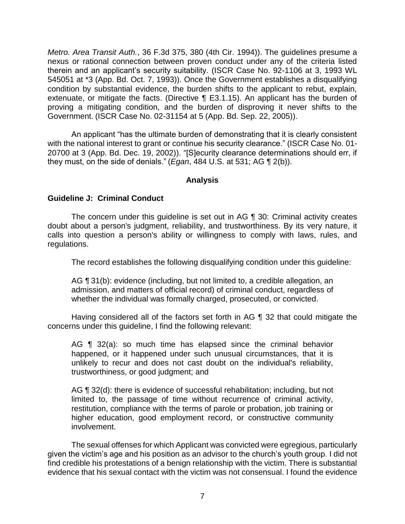*Metro. Area Transit Auth.*, 36 F.3d 375, 380 (4th Cir. 1994)). The guidelines presume a nexus or rational connection between proven conduct under any of the criteria listed therein and an applicant's security suitability. (ISCR Case No. 92-1106 at 3, 1993 WL 545051 at \*3 (App. Bd. Oct. 7, 1993)). Once the Government establishes a disqualifying condition by substantial evidence, the burden shifts to the applicant to rebut, explain, extenuate, or mitigate the facts. (Directive ¶ E3.1.15). An applicant has the burden of proving a mitigating condition, and the burden of disproving it never shifts to the Government. (ISCR Case No. 02-31154 at 5 (App. Bd. Sep. 22, 2005)).

 An applicant "has the ultimate burden of demonstrating that it is clearly consistent with the national interest to grant or continue his security clearance." (ISCR Case No. 01- 20700 at 3 (App. Bd. Dec. 19, 2002)). "[S]ecurity clearance determinations should err, if they must, on the side of denials." (*Egan*, 484 U.S. at 531; AG ¶ 2(b)).

### **Analysis**

### **Guideline J: Criminal Conduct**

 The concern under this guideline is set out in AG ¶ 30: Criminal activity creates doubt about a person's judgment, reliability, and trustworthiness. By its very nature, it calls into question a person's ability or willingness to comply with laws, rules, and regulations.

The record establishes the following disqualifying condition under this guideline:

 AG ¶ 31(b): evidence (including, but not limited to, a credible allegation, an admission, and matters of official record) of criminal conduct, regardless of whether the individual was formally charged, prosecuted, or convicted.

 Having considered all of the factors set forth in AG ¶ 32 that could mitigate the concerns under this guideline, I find the following relevant:

AG ¶ 32(a): so much time has elapsed since the criminal behavior unlikely to recur and does not cast doubt on the individual's reliability, happened, or it happened under such unusual circumstances, that it is trustworthiness, or good judgment; and

 limited to, the passage of time without recurrence of criminal activity, restitution, compliance with the terms of parole or probation, job training or AG ¶ 32(d): there is evidence of successful rehabilitation; including, but not higher education, good employment record, or constructive community involvement.

 given the victim's age and his position as an advisor to the church's youth group. I did not find credible his protestations of a benign relationship with the victim. There is substantial evidence that his sexual contact with the victim was not consensual. I found the evidence The sexual offenses for which Applicant was convicted were egregious, particularly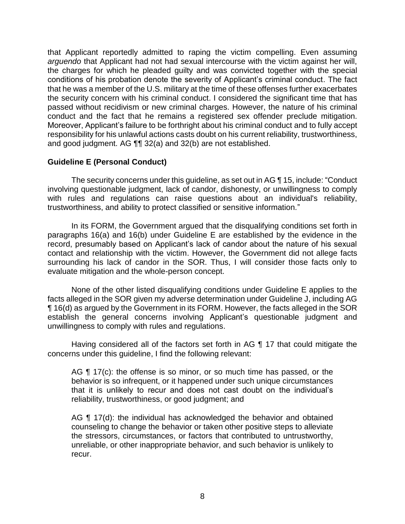that Applicant reportedly admitted to raping the victim compelling. Even assuming *arguendo* that Applicant had not had sexual intercourse with the victim against her will, the charges for which he pleaded guilty and was convicted together with the special conditions of his probation denote the severity of Applicant's criminal conduct. The fact that he was a member of the U.S. military at the time of these offenses further exacerbates the security concern with his criminal conduct. I considered the significant time that has passed without recidivism or new criminal charges. However, the nature of his criminal conduct and the fact that he remains a registered sex offender preclude mitigation. Moreover, Applicant's failure to be forthright about his criminal conduct and to fully accept responsibility for his unlawful actions casts doubt on his current reliability, trustworthiness, and good judgment. AG ¶¶ 32(a) and 32(b) are not established.

# **Guideline E (Personal Conduct)**

 with rules and regulations can raise questions about an individual's reliability, The security concerns under this guideline, as set out in AG ¶ 15, include: "Conduct involving questionable judgment, lack of candor, dishonesty, or unwillingness to comply trustworthiness, and ability to protect classified or sensitive information."

 In its FORM, the Government argued that the disqualifying conditions set forth in paragraphs 16(a) and 16(b) under Guideline E are established by the evidence in the record, presumably based on Applicant's lack of candor about the nature of his sexual contact and relationship with the victim. However, the Government did not allege facts surrounding his lack of candor in the SOR. Thus, I will consider those facts only to evaluate mitigation and the whole-person concept.

 None of the other listed disqualifying conditions under Guideline E applies to the facts alleged in the SOR given my adverse determination under Guideline J, including AG ¶ 16(d) as argued by the Government in its FORM. However, the facts alleged in the SOR establish the general concerns involving Applicant's questionable judgment and unwillingness to comply with rules and regulations.

 Having considered all of the factors set forth in AG ¶ 17 that could mitigate the concerns under this guideline, I find the following relevant:

AG  $\P$  17(c): the offense is so minor, or so much time has passed, or the that it is unlikely to recur and does not cast doubt on the individual's behavior is so infrequent, or it happened under such unique circumstances reliability, trustworthiness, or good judgment; and

AG ¶ 17(d): the individual has acknowledged the behavior and obtained counseling to change the behavior or taken other positive steps to alleviate the stressors, circumstances, or factors that contributed to untrustworthy, unreliable, or other inappropriate behavior, and such behavior is unlikely to recur.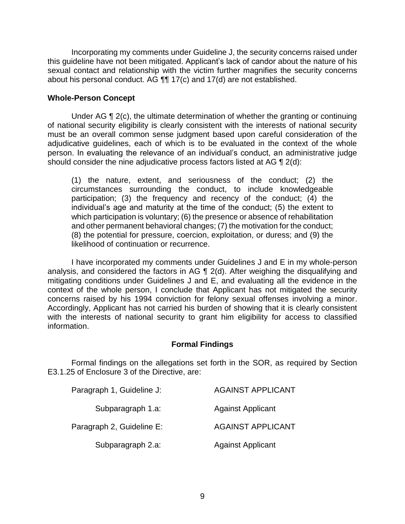this guideline have not been mitigated. Applicant's lack of candor about the nature of his sexual contact and relationship with the victim further magnifies the security concerns Incorporating my comments under Guideline J, the security concerns raised under about his personal conduct. AG ¶¶ 17(c) and 17(d) are not established.

### **Whole-Person Concept**

 Under AG ¶ 2(c), the ultimate determination of whether the granting or continuing of national security eligibility is clearly consistent with the interests of national security must be an overall common sense judgment based upon careful consideration of the adjudicative guidelines, each of which is to be evaluated in the context of the whole person. In evaluating the relevance of an individual's conduct, an administrative judge should consider the nine adjudicative process factors listed at AG ¶ 2(d):

(1) the nature, extent, and seriousness of the conduct; (2) the circumstances surrounding the conduct, to include knowledgeable participation; (3) the frequency and recency of the conduct; (4) the individual's age and maturity at the time of the conduct; (5) the extent to which participation is voluntary; (6) the presence or absence of rehabilitation and other permanent behavioral changes; (7) the motivation for the conduct; (8) the potential for pressure, coercion, exploitation, or duress; and (9) the likelihood of continuation or recurrence.

 I have incorporated my comments under Guidelines J and E in my whole-person analysis, and considered the factors in AG ¶ 2(d). After weighing the disqualifying and mitigating conditions under Guidelines J and E, and evaluating all the evidence in the context of the whole person, I conclude that Applicant has not mitigated the security concerns raised by his 1994 conviction for felony sexual offenses involving a minor. Accordingly, Applicant has not carried his burden of showing that it is clearly consistent with the interests of national security to grant him eligibility for access to classified information.

### **Formal Findings**

 Formal findings on the allegations set forth in the SOR, as required by Section E3.1.25 of Enclosure 3 of the Directive, are:

| Paragraph 1, Guideline J: | <b>AGAINST APPLICANT</b> |
|---------------------------|--------------------------|
| Subparagraph 1.a:         | <b>Against Applicant</b> |
| Paragraph 2, Guideline E: | <b>AGAINST APPLICANT</b> |
| Subparagraph 2.a:         | <b>Against Applicant</b> |